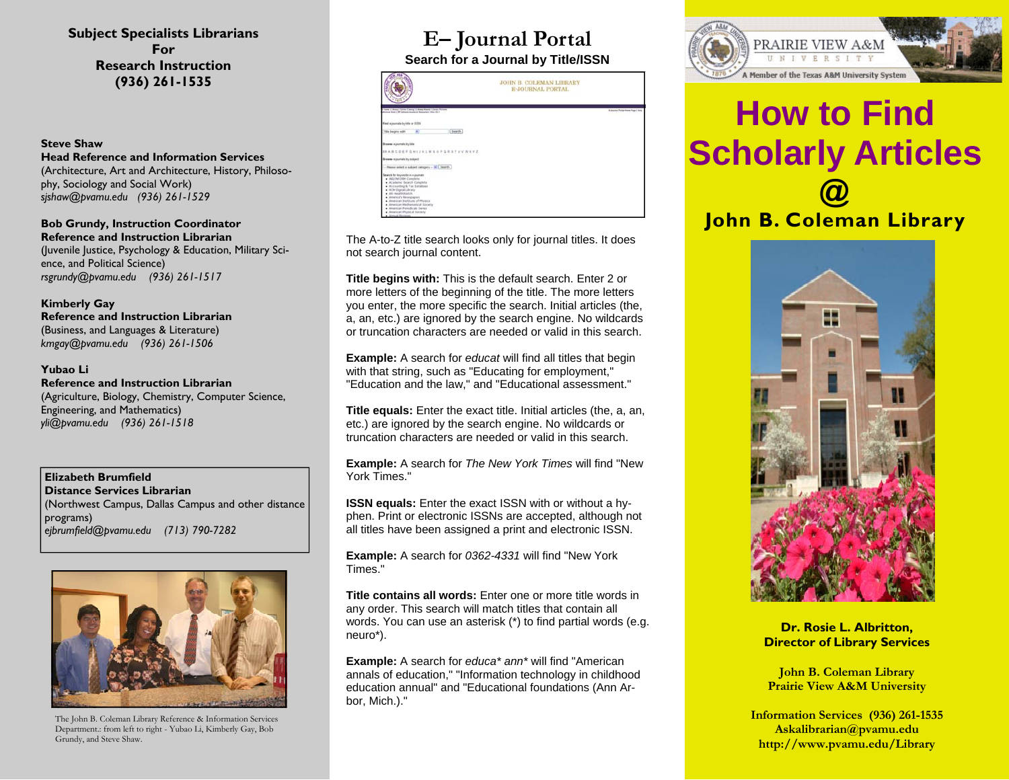**Subject Specialists Librarians For Research Instruction (936) 261-1535** 

### **Steve Shaw**

**Head Reference and Information Services** (Architecture, Art and Architecture, History, Philosophy, Sociology and Social Work) *sjshaw@pvamu.edu (936) 261-1529* 

**Bob Grundy, Instruction Coordinator Reference and Instruction Librarian** 

(Juvenile Justice, Psychology & Education, Military Science, and Political Science) *rsgrundy@pvamu.edu (936) 261-1517* 

**Kimberly Gay Reference and Instruction Librarian** (Business, and Languages & Literature) *kmgay@pvamu.edu (936) 261-1506* 

#### **Yubao Li**

**Reference and Instruction Librarian** (Agriculture, Biology, Chemistry, Computer Science, Engineering, and Mathematics) *yli@pvamu.edu (936) 261-1518* 

**Elizabeth Brumfield Distance Services Librarian** (Northwest Campus, Dallas Campus and other distance programs) *ejbrumfield@pvamu.edu (713) 790-7282* 



The John B. Coleman Library Reference & Information Services Department.: from left to right - Yubao Li, Kimberly Gay, Bob Grundy, and Steve Shaw.

## **E– Journal Portal Search for a Journal by Title/ISSN**

| A.L.L.                                                                                                                                                                                                                                                                                                                                                        | <b>JOHN B. COLEMAN LIBRARY</b><br><b>E-JOURNAL PORTAL</b> |                                     |
|---------------------------------------------------------------------------------------------------------------------------------------------------------------------------------------------------------------------------------------------------------------------------------------------------------------------------------------------------------------|-----------------------------------------------------------|-------------------------------------|
| Il Masse I Library I Goline Caterag I Library West I Library Politices<br>Motiva (245.) DR Campos Atoms 61 Returned I New Old C                                                                                                                                                                                                                               |                                                           | 6. Journal Partial Town Page   Nels |
| Find a pursals by bla or (55N)                                                                                                                                                                                                                                                                                                                                |                                                           |                                     |
| [ teach<br>Title begins with<br>٠                                                                                                                                                                                                                                                                                                                             |                                                           |                                     |
| Brawne e-journals by title                                                                                                                                                                                                                                                                                                                                    |                                                           |                                     |
| MARCOEFGHIJKLMNOPGRSTUVWEYZ                                                                                                                                                                                                                                                                                                                                   |                                                           |                                     |
| Brewse injurisds by subject                                                                                                                                                                                                                                                                                                                                   |                                                           |                                     |
| Please select a subject category - > 1 Swarth                                                                                                                                                                                                                                                                                                                 |                                                           |                                     |
| Search for two costs in a countries<br>. ASL/3NFORM Complete<br>· Academic Gearch Constelle<br>· Accounting & Tax Database<br>. ACM Digital Library<br>. All caught-stands<br>· America's Newspapers<br>. American buildute of Physics<br>· American Mathematical Society<br>. American Perindicals Saries<br>. American Physical Society<br>. Annual Reviews |                                                           |                                     |

The A-to-Z title search looks only for journal titles. It does not search journal content.

**Title begins with:** This is the default search. Enter 2 or more letters of the beginning of the title. The more letters you enter, the more specific the search. Initial articles (the, a, an, etc.) are ignored by the search engine. No wildcards or truncation characters are needed or valid in this search.

**Example:** A search for *educat* will find all titles that begin with that string, such as "Educating for employment," "Education and the law," and "Educational assessment."

**Title equals:** Enter the exact title. Initial articles (the, a, an, etc.) are ignored by the search engine. No wildcards or truncation characters are needed or valid in this search.

**Example:** A search for *The New York Times* will find "New York Times."

**ISSN equals:** Enter the exact ISSN with or without a hyphen. Print or electronic ISSNs are accepted, although not all titles have been assigned a print and electronic ISSN.

**Example:** A search for *0362-4331* will find "New York Times."

**Title contains all words:** Enter one or more title words in any order. This search will match titles that contain all words. You can use an asterisk (\*) to find partial words (e.g. neuro\*).

**Example:** A search for *educa\* ann\** will find "American annals of education," "Information technology in childhood education annual" and "Educational foundations (Ann Arbor, Mich.)."



# **How to Find Scholarly Articles @**

**John B. Coleman Library**



**Dr. Rosie L. Albritton, Director of Library Services** 

**John B. Coleman Library Prairie View A&M University** 

**Information Services (936) 261-1535 Askalibrarian@pvamu.edu http://www.pvamu.edu/Library**